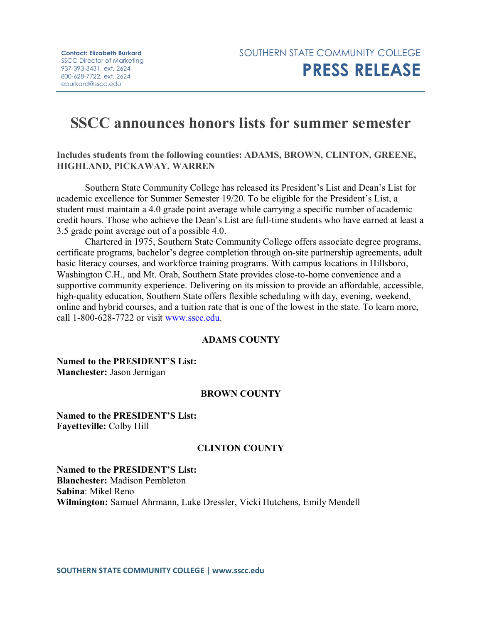# **SSCC announces honors lists for summer semester**

**Includes students from the following counties: ADAMS, BROWN, CLINTON, GREENE, HIGHLAND, PICKAWAY, WARREN**

Southern State Community College has released its President's List and Dean's List for academic excellence for Summer Semester 19/20. To be eligible for the President's List, a student must maintain a 4.0 grade point average while carrying a specific number of academic credit hours. Those who achieve the Dean's List are full-time students who have earned at least a 3.5 grade point average out of a possible 4.0.

Chartered in 1975, Southern State Community College offers associate degree programs, certificate programs, bachelor's degree completion through on-site partnership agreements, adult basic literacy courses, and workforce training programs. With campus locations in Hillsboro, Washington C.H., and Mt. Orab, Southern State provides close-to-home convenience and a supportive community experience. Delivering on its mission to provide an affordable, accessible, high-quality education, Southern State offers flexible scheduling with day, evening, weekend, online and hybrid courses, and a tuition rate that is one of the lowest in the state. To learn more, call 1-800-628-7722 or visit [www.sscc.edu.](http://www.sscc.edu/)

# **ADAMS COUNTY**

**Named to the PRESIDENT'S List: Manchester:** Jason Jernigan

# **BROWN COUNTY**

**Named to the PRESIDENT'S List: Fayetteville:** Colby Hill

# **CLINTON COUNTY**

**Named to the PRESIDENT'S List: Blanchester:** Madison Pembleton **Sabina**: Mikel Reno **Wilmington:** Samuel Ahrmann, Luke Dressler, Vicki Hutchens, Emily Mendell

**SOUTHERN STATE COMMUNITY COLLEGE | www.sscc.edu**